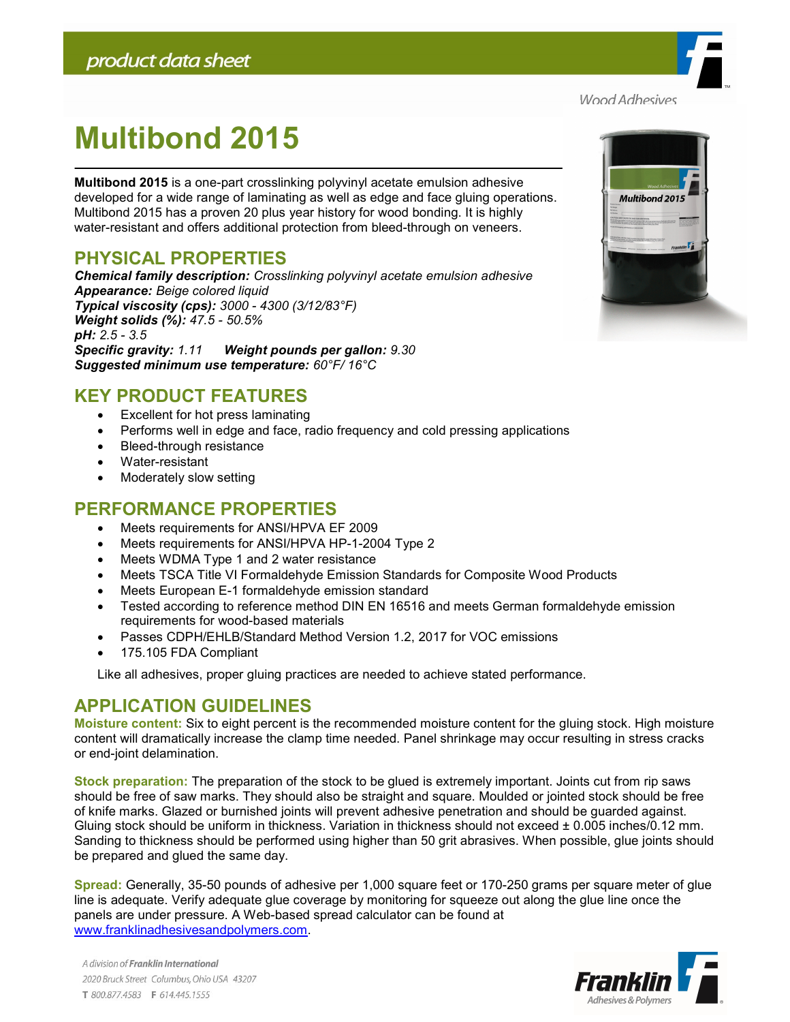

# Multibond 2015

Multibond 2015 is a one-part crosslinking polyvinyl acetate emulsion adhesive developed for a wide range of laminating as well as edge and face gluing operations. Multibond 2015 has a proven 20 plus year history for wood bonding. It is highly water-resistant and offers additional protection from bleed-through on veneers.

## PHYSICAL PROPERTIES

Chemical family description: Crosslinking polyvinyl acetate emulsion adhesive Appearance: Beige colored liquid Typical viscosity (cps): 3000 - 4300 (3/12/83°F) Weight solids (%): 47.5 - 50.5% pH: 2.5 - 3.5 Specific gravity: 1.11 Weight pounds per gallon: 9.30 Suggested minimum use temperature: 60°F/ 16°C

## KEY PRODUCT FEATURES

- Excellent for hot press laminating
- Performs well in edge and face, radio frequency and cold pressing applications
- Bleed-through resistance
- Water-resistant
- Moderately slow setting

### PERFORMANCE PROPERTIES

- Meets requirements for ANSI/HPVA EF 2009
- Meets requirements for ANSI/HPVA HP-1-2004 Type 2
- Meets WDMA Type 1 and 2 water resistance
- Meets TSCA Title VI Formaldehyde Emission Standards for Composite Wood Products
- Meets European E-1 formaldehyde emission standard
- Tested according to reference method DIN EN 16516 and meets German formaldehyde emission requirements for wood-based materials
- Passes CDPH/EHLB/Standard Method Version 1.2, 2017 for VOC emissions
- 175.105 FDA Compliant

Like all adhesives, proper gluing practices are needed to achieve stated performance.

## APPLICATION GUIDELINES

Moisture content: Six to eight percent is the recommended moisture content for the gluing stock. High moisture content will dramatically increase the clamp time needed. Panel shrinkage may occur resulting in stress cracks or end-joint delamination.

Stock preparation: The preparation of the stock to be glued is extremely important. Joints cut from rip saws should be free of saw marks. They should also be straight and square. Moulded or jointed stock should be free of knife marks. Glazed or burnished joints will prevent adhesive penetration and should be guarded against. Gluing stock should be uniform in thickness. Variation in thickness should not exceed  $\pm$  0.005 inches/0.12 mm. Sanding to thickness should be performed using higher than 50 grit abrasives. When possible, glue joints should be prepared and glued the same day.

Spread: Generally, 35-50 pounds of adhesive per 1,000 square feet or 170-250 grams per square meter of glue line is adequate. Verify adequate glue coverage by monitoring for squeeze out along the glue line once the panels are under pressure. A Web-based spread calculator can be found at www.franklinadhesivesandpolymers.com.



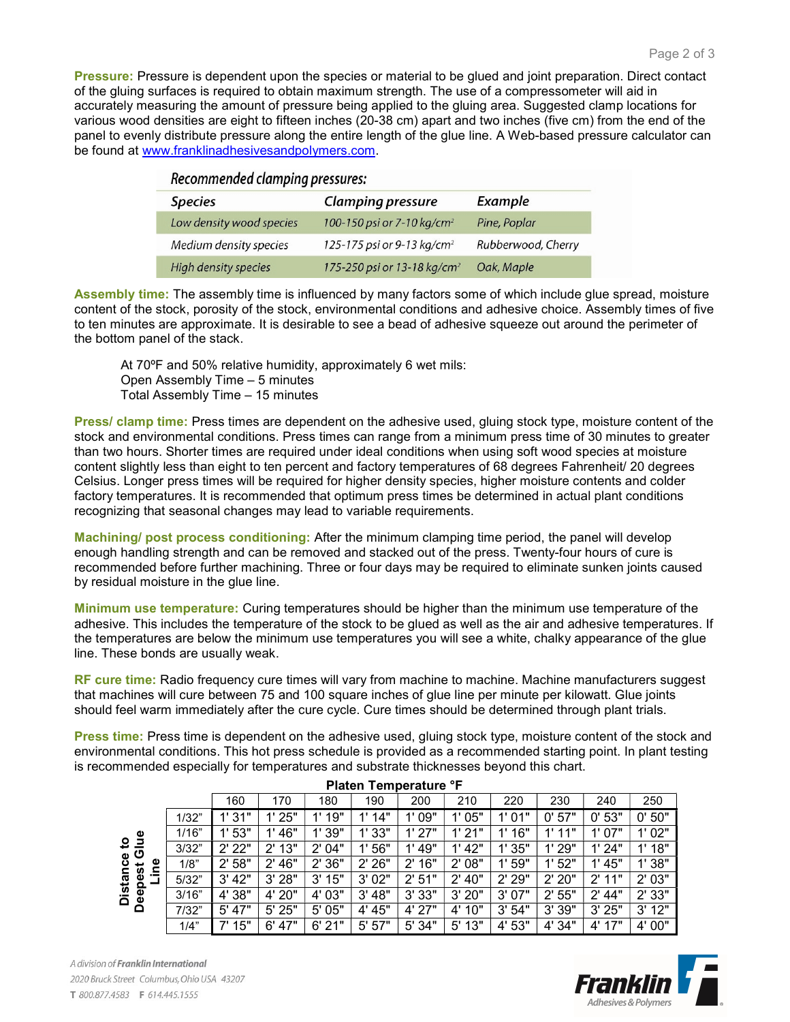Pressure: Pressure is dependent upon the species or material to be glued and joint preparation. Direct contact of the gluing surfaces is required to obtain maximum strength. The use of a compressometer will aid in accurately measuring the amount of pressure being applied to the gluing area. Suggested clamp locations for various wood densities are eight to fifteen inches (20-38 cm) apart and two inches (five cm) from the end of the panel to evenly distribute pressure along the entire length of the glue line. A Web-based pressure calculator can be found at www.franklinadhesivesandpolymers.com.

| Recommended clamping pressures: |                                         |                    |  |  |  |  |  |  |  |
|---------------------------------|-----------------------------------------|--------------------|--|--|--|--|--|--|--|
| <b>Species</b>                  | <b>Clamping pressure</b>                | Example            |  |  |  |  |  |  |  |
| Low density wood species        | 100-150 psi or 7-10 kg/cm <sup>2</sup>  | Pine, Poplar       |  |  |  |  |  |  |  |
| Medium density species          | 125-175 psi or 9-13 kg/cm <sup>2</sup>  | Rubberwood, Cherry |  |  |  |  |  |  |  |
| <b>High density species</b>     | 175-250 psi or 13-18 kg/cm <sup>2</sup> | Oak, Maple         |  |  |  |  |  |  |  |

Assembly time: The assembly time is influenced by many factors some of which include glue spread, moisture content of the stock, porosity of the stock, environmental conditions and adhesive choice. Assembly times of five to ten minutes are approximate. It is desirable to see a bead of adhesive squeeze out around the perimeter of the bottom panel of the stack.

At 70ºF and 50% relative humidity, approximately 6 wet mils: Open Assembly Time – 5 minutes Total Assembly Time – 15 minutes

Press/ clamp time: Press times are dependent on the adhesive used, gluing stock type, moisture content of the stock and environmental conditions. Press times can range from a minimum press time of 30 minutes to greater than two hours. Shorter times are required under ideal conditions when using soft wood species at moisture content slightly less than eight to ten percent and factory temperatures of 68 degrees Fahrenheit/ 20 degrees Celsius. Longer press times will be required for higher density species, higher moisture contents and colder factory temperatures. It is recommended that optimum press times be determined in actual plant conditions recognizing that seasonal changes may lead to variable requirements.

Machining/ post process conditioning: After the minimum clamping time period, the panel will develop enough handling strength and can be removed and stacked out of the press. Twenty-four hours of cure is recommended before further machining. Three or four days may be required to eliminate sunken joints caused by residual moisture in the glue line.

Minimum use temperature: Curing temperatures should be higher than the minimum use temperature of the adhesive. This includes the temperature of the stock to be glued as well as the air and adhesive temperatures. If the temperatures are below the minimum use temperatures you will see a white, chalky appearance of the glue line. These bonds are usually weak.

RF cure time: Radio frequency cure times will vary from machine to machine. Machine manufacturers suggest that machines will cure between 75 and 100 square inches of glue line per minute per kilowatt. Glue joints should feel warm immediately after the cure cycle. Cure times should be determined through plant trials.

Press time: Press time is dependent on the adhesive used, gluing stock type, moisture content of the stock and environmental conditions. This hot press schedule is provided as a recommended starting point. In plant testing is recommended especially for temperatures and substrate thicknesses beyond this chart.

| Platen Temperature °F                                                          |       |                     |                     |        |           |                     |                     |           |            |           |        |  |
|--------------------------------------------------------------------------------|-------|---------------------|---------------------|--------|-----------|---------------------|---------------------|-----------|------------|-----------|--------|--|
|                                                                                |       | 160                 | 170                 | 180    | 190       | 200                 | 210                 | 220       | 230        | 240       | 250    |  |
| Φ<br>₿<br><u>ي</u><br>ပ<br>Φ<br>ō<br>Φ<br>پ<br>pest<br>Distan<br>$\sim$<br>Dee | 1/32" | 1'31"               | 1'25"               | 1'19"  | 14"<br>1' | 1'09"               | 1'05"               | 1'01"     | 57"<br>0'  | 0'53"     | 0'50"  |  |
|                                                                                | 1/16" | 1'53"               | 1' 46"              | 1' 39" | 1'33"     | 1'27"               | 1'21"               | 6"<br>41  | 11"<br>4 I | 1'07"     | 1'02"  |  |
|                                                                                | 3/32" | $2'$ 22"            | 2'13"               | 2' 04" | 56"<br>1' | 49"<br>1'           | 1' 42"              | 1'35"     | 1'29"      | 1'24"     | 1'18"  |  |
|                                                                                | 1/8"  | 58"<br>$2^{\prime}$ | 46"<br>$2^{\prime}$ | 2'36"  | 2'26"     | 16"<br>$2^{\prime}$ | 08"<br>$2^{\prime}$ | 1'59"     | 1'52"      | 45"<br>1' | 1'38"  |  |
|                                                                                | 5/32" | 3' 42"              | 3'28"               | 3'15"  | 3'02"     | 2'51"               | 40"<br>$2^{\prime}$ | 2'29"     | 2'20"      | 2'11"     | 2'03"  |  |
|                                                                                | 3/16" | 4' 38"              | 4' 20"              | 4' 03" | 3' 48"    | 3'33"               | 3'20"               | 07"<br>3' | 2'55"      | 2' 44"    | 2' 33" |  |
|                                                                                | 7/32" | 47"<br>5'           | 5' 25"              | 5' 05" | 4' 45"    | 4' 27"              | 10"<br>$4^{\prime}$ | 54"<br>3' | 3' 39"     | 3'25"     | 3'12"  |  |
|                                                                                | 1/4"  | 15"<br>7'           | 47"<br>6'           | 6'21"  | 57"<br>5' | 34"<br>5'           | 13"<br>5'           | 53"<br>4' | 4' 34"     | 4' 17"    | 4' 00" |  |